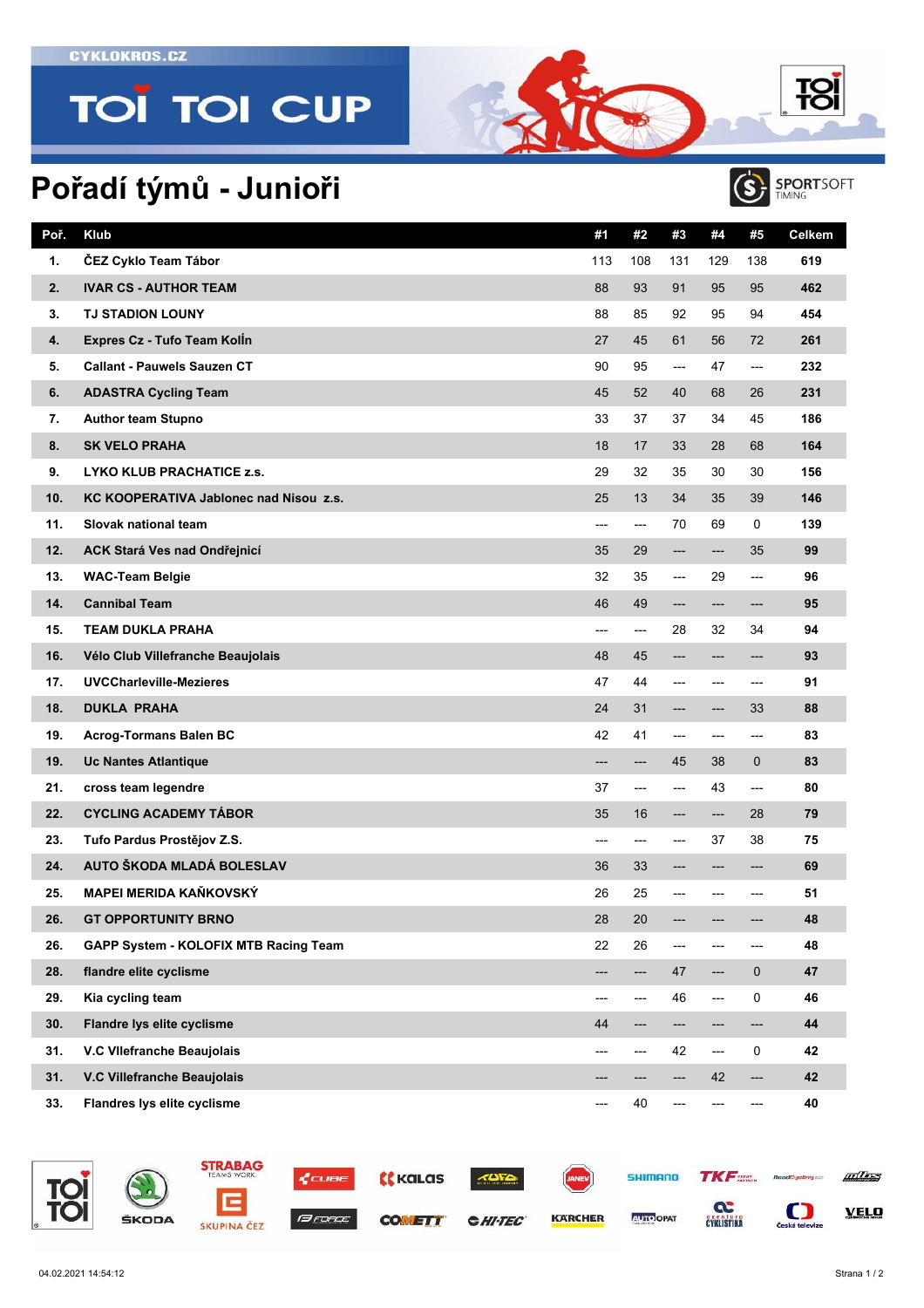**CYKLOKROS.CZ** 

## **TOÏ TOI CUP**

## **Pořadí týmů - Junioři**



**T**SI

| Poř. | Klub                                   | #1             | #2     | #3  | #4                     | #5          | <b>Celkem</b> |
|------|----------------------------------------|----------------|--------|-----|------------------------|-------------|---------------|
| 1.   | ČEZ Cyklo Team Tábor                   | 113            | 108    | 131 | 129                    | 138         | 619           |
| 2.   | <b>IVAR CS - AUTHOR TEAM</b>           | 88             | 93     | 91  | 95                     | 95          | 462           |
| 3.   | <b>TJ STADION LOUNY</b>                | 88             | 85     | 92  | 95                     | 94          | 454           |
| 4.   | Expres Cz - Tufo Team Kolln            | 27             | 45     | 61  | 56                     | 72          | 261           |
| 5.   | <b>Callant - Pauwels Sauzen CT</b>     | 90             | 95     | --- | 47                     | ---         | 232           |
| 6.   | <b>ADASTRA Cycling Team</b>            | 45             | 52     | 40  | 68                     | 26          | 231           |
| 7.   | <b>Author team Stupno</b>              | 33             | 37     | 37  | 34                     | 45          | 186           |
| 8.   | <b>SK VELO PRAHA</b>                   | 18             | 17     | 33  | 28                     | 68          | 164           |
| 9.   | LYKO KLUB PRACHATICE z.s.              | 29             | 32     | 35  | 30                     | 30          | 156           |
| 10.  | KC KOOPERATIVA Jablonec nad Nisou z.s. | 25             | 13     | 34  | 35                     | 39          | 146           |
| 11.  | Slovak national team                   | ---            | ---    | 70  | 69                     | 0           | 139           |
| 12.  | ACK Stará Ves nad Ondřejnicí           | 35             | 29     | --- | ---                    | 35          | 99            |
| 13.  | <b>WAC-Team Belgie</b>                 | 32             | 35     | --- | 29                     | ---         | 96            |
| 14.  | <b>Cannibal Team</b>                   | 46             | 49     | --- | ---                    | ---         | 95            |
| 15.  | <b>TEAM DUKLA PRAHA</b>                | $\overline{a}$ | ---    | 28  | 32                     | 34          | 94            |
| 16.  | Vélo Club Villefranche Beaujolais      | 48             | 45     | --- | ---                    | ---         | 93            |
| 17.  | UVCCharleville-Mezieres                | 47             | 44     | --- | ---                    | ---         | 91            |
| 18.  | <b>DUKLA PRAHA</b>                     | 24             | 31     | --- | ---                    | 33          | 88            |
| 19.  | <b>Acrog-Tormans Balen BC</b>          | 42             | 41     | --- | ---                    | ---         | 83            |
| 19.  | <b>Uc Nantes Atlantique</b>            | ---            | ---    | 45  | 38                     | $\mathbf 0$ | 83            |
| 21.  | cross team legendre                    | 37             | ---    | --- | 43                     | ---         | 80            |
| 22.  | <b>CYCLING ACADEMY TÁBOR</b>           | 35             | 16     | --- | ---                    | 28          | 79            |
| 23.  | Tufo Pardus Prostějov Z.S.             | ---            | ---    | --- | 37                     | 38          | 75            |
| 24.  | AUTO ŠKODA MLADÁ BOLESLAV              | 36             | 33     | --- | ---                    | ---         | 69            |
| 25.  | <b>MAPEI MERIDA KAŇKOVSKÝ</b>          | 26             | 25     | --- | ---                    | ---         | 51            |
| 26.  | <b>GT OPPORTUNITY BRNO</b>             | $28\,$         | $20\,$ |     |                        |             | 48            |
| 26.  | GAPP System - KOLOFIX MTB Racing Team  | 22             | 26     | --- | ---                    | ---         | 48            |
| 28.  | flandre elite cyclisme                 | ---            | ---    | 47  | ---                    | $\mathbf 0$ | 47            |
| 29.  | Kia cycling team                       | ---            | ---    | 46  | ---                    | 0           | 46            |
| 30.  | Flandre lys elite cyclisme             | 44             | ---    | --- | ---                    | ---         | 44            |
| 31.  | V.C VIIefranche Beaujolais             | ---            | ---    | 42  | $\qquad \qquad \cdots$ | 0           | 42            |
| 31.  | V.C Villefranche Beaujolais            |                | ---    |     | 42                     | ---         | 42            |
| 33.  | Flandres lys elite cyclisme            | ---            | 40     |     |                        | ---         | 40            |